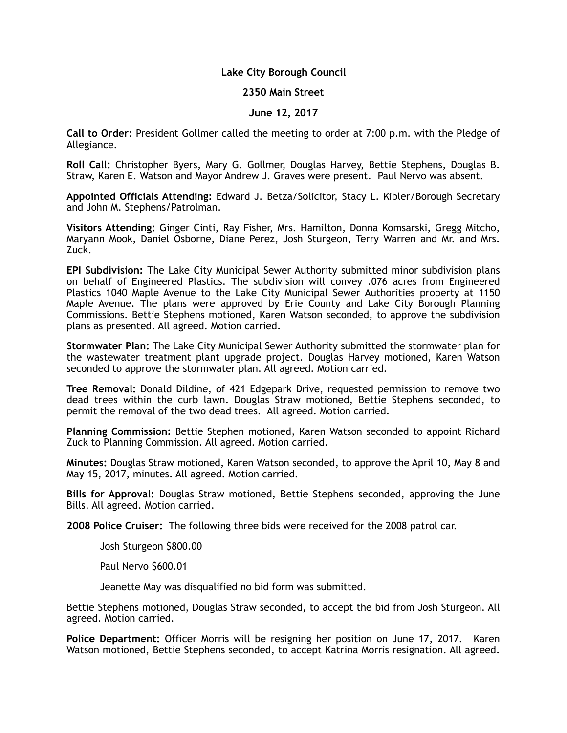# **Lake City Borough Council**

### **2350 Main Street**

### **June 12, 2017**

**Call to Order**: President Gollmer called the meeting to order at 7:00 p.m. with the Pledge of Allegiance.

**Roll Call:** Christopher Byers, Mary G. Gollmer, Douglas Harvey, Bettie Stephens, Douglas B. Straw, Karen E. Watson and Mayor Andrew J. Graves were present. Paul Nervo was absent.

**Appointed Officials Attending:** Edward J. Betza/Solicitor, Stacy L. Kibler/Borough Secretary and John M. Stephens/Patrolman.

**Visitors Attending:** Ginger Cinti, Ray Fisher, Mrs. Hamilton, Donna Komsarski, Gregg Mitcho, Maryann Mook, Daniel Osborne, Diane Perez, Josh Sturgeon, Terry Warren and Mr. and Mrs. Zuck.

**EPI Subdivision:** The Lake City Municipal Sewer Authority submitted minor subdivision plans on behalf of Engineered Plastics. The subdivision will convey .076 acres from Engineered Plastics 1040 Maple Avenue to the Lake City Municipal Sewer Authorities property at 1150 Maple Avenue. The plans were approved by Erie County and Lake City Borough Planning Commissions. Bettie Stephens motioned, Karen Watson seconded, to approve the subdivision plans as presented. All agreed. Motion carried.

**Stormwater Plan:** The Lake City Municipal Sewer Authority submitted the stormwater plan for the wastewater treatment plant upgrade project. Douglas Harvey motioned, Karen Watson seconded to approve the stormwater plan. All agreed. Motion carried.

**Tree Removal:** Donald Dildine, of 421 Edgepark Drive, requested permission to remove two dead trees within the curb lawn. Douglas Straw motioned, Bettie Stephens seconded, to permit the removal of the two dead trees. All agreed. Motion carried.

**Planning Commission:** Bettie Stephen motioned, Karen Watson seconded to appoint Richard Zuck to Planning Commission. All agreed. Motion carried.

**Minutes:** Douglas Straw motioned, Karen Watson seconded, to approve the April 10, May 8 and May 15, 2017, minutes. All agreed. Motion carried.

**Bills for Approval:** Douglas Straw motioned, Bettie Stephens seconded, approving the June Bills. All agreed. Motion carried.

**2008 Police Cruiser:** The following three bids were received for the 2008 patrol car.

Josh Sturgeon \$800.00

Paul Nervo \$600.01

Jeanette May was disqualified no bid form was submitted.

Bettie Stephens motioned, Douglas Straw seconded, to accept the bid from Josh Sturgeon. All agreed. Motion carried.

**Police Department:** Officer Morris will be resigning her position on June 17, 2017. Karen Watson motioned, Bettie Stephens seconded, to accept Katrina Morris resignation. All agreed.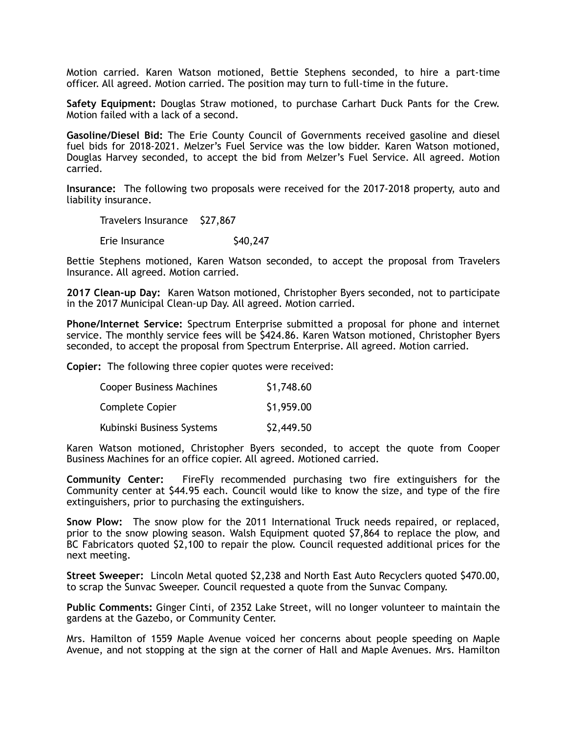Motion carried. Karen Watson motioned, Bettie Stephens seconded, to hire a part-time officer. All agreed. Motion carried. The position may turn to full-time in the future.

**Safety Equipment:** Douglas Straw motioned, to purchase Carhart Duck Pants for the Crew. Motion failed with a lack of a second.

**Gasoline/Diesel Bid:** The Erie County Council of Governments received gasoline and diesel fuel bids for 2018-2021. Melzer's Fuel Service was the low bidder. Karen Watson motioned, Douglas Harvey seconded, to accept the bid from Melzer's Fuel Service. All agreed. Motion carried.

**Insurance:** The following two proposals were received for the 2017-2018 property, auto and liability insurance.

Travelers Insurance \$27,867

Erie Insurance  $\qquad \qquad$  \$40,247

Bettie Stephens motioned, Karen Watson seconded, to accept the proposal from Travelers Insurance. All agreed. Motion carried.

**2017 Clean-up Day:** Karen Watson motioned, Christopher Byers seconded, not to participate in the 2017 Municipal Clean-up Day. All agreed. Motion carried.

**Phone/Internet Service:** Spectrum Enterprise submitted a proposal for phone and internet service. The monthly service fees will be \$424.86. Karen Watson motioned, Christopher Byers seconded, to accept the proposal from Spectrum Enterprise. All agreed. Motion carried.

**Copier:** The following three copier quotes were received:

| <b>Cooper Business Machines</b> | \$1,748.60 |
|---------------------------------|------------|
| Complete Copier                 | \$1,959.00 |
| Kubinski Business Systems       | \$2,449.50 |

Karen Watson motioned, Christopher Byers seconded, to accept the quote from Cooper Business Machines for an office copier. All agreed. Motioned carried.

**Community Center:** FireFly recommended purchasing two fire extinguishers for the Community center at \$44.95 each. Council would like to know the size, and type of the fire extinguishers, prior to purchasing the extinguishers.

**Snow Plow:** The snow plow for the 2011 International Truck needs repaired, or replaced, prior to the snow plowing season. Walsh Equipment quoted \$7,864 to replace the plow, and BC Fabricators quoted \$2,100 to repair the plow. Council requested additional prices for the next meeting.

**Street Sweeper:** Lincoln Metal quoted \$2,238 and North East Auto Recyclers quoted \$470.00, to scrap the Sunvac Sweeper. Council requested a quote from the Sunvac Company.

**Public Comments:** Ginger Cinti, of 2352 Lake Street, will no longer volunteer to maintain the gardens at the Gazebo, or Community Center.

Mrs. Hamilton of 1559 Maple Avenue voiced her concerns about people speeding on Maple Avenue, and not stopping at the sign at the corner of Hall and Maple Avenues. Mrs. Hamilton